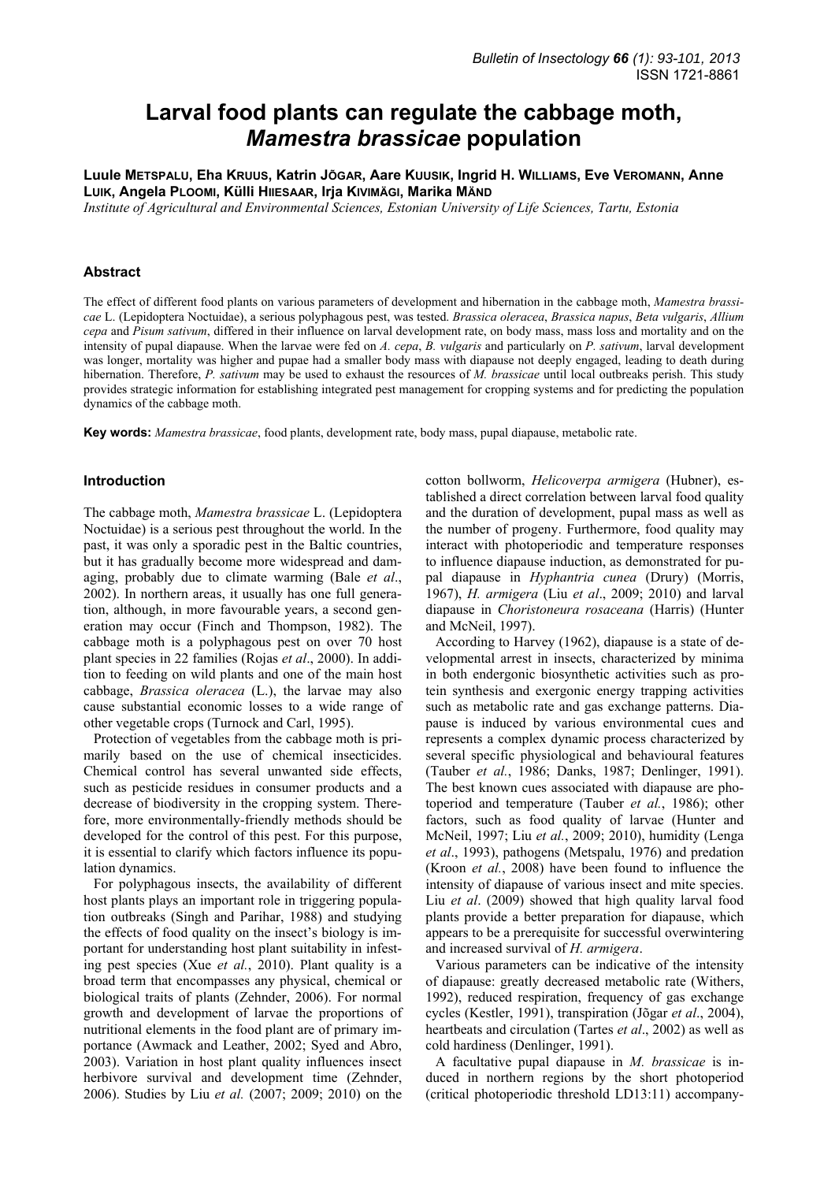# **Larval food plants can regulate the cabbage moth,**  *Mamestra brassicae* **population**

**Luule METSPALU, Eha KRUUS, Katrin JÕGAR, Aare KUUSIK, Ingrid H. WILLIAMS, Eve VEROMANN, Anne LUIK, Angela PLOOMI, Külli HIIESAAR, Irja KIVIMÄGI, Marika MÄND**

*Institute of Agricultural and Environmental Sciences, Estonian University of Life Sciences, Tartu, Estonia* 

# **Abstract**

The effect of different food plants on various parameters of development and hibernation in the cabbage moth, *Mamestra brassicae* L. (Lepidoptera Noctuidae), a serious polyphagous pest, was tested. *Brassica oleracea*, *Brassica napus*, *Beta vulgaris*, *Allium cepa* and *Pisum sativum*, differed in their influence on larval development rate, on body mass, mass loss and mortality and on the intensity of pupal diapause. When the larvae were fed on *A. cepa*, *B. vulgaris* and particularly on *P. sativum*, larval development was longer, mortality was higher and pupae had a smaller body mass with diapause not deeply engaged, leading to death during hibernation. Therefore, *P. sativum* may be used to exhaust the resources of *M. brassicae* until local outbreaks perish. This study provides strategic information for establishing integrated pest management for cropping systems and for predicting the population dynamics of the cabbage moth.

**Key words:** *Mamestra brassicae*, food plants, development rate, body mass, pupal diapause, metabolic rate.

## **Introduction**

The cabbage moth, *Mamestra brassicae* L. (Lepidoptera Noctuidae) is a serious pest throughout the world. In the past, it was only a sporadic pest in the Baltic countries, but it has gradually become more widespread and damaging, probably due to climate warming (Bale *et al*., 2002). In northern areas, it usually has one full generation, although, in more favourable years, a second generation may occur (Finch and Thompson, 1982). The cabbage moth is a polyphagous pest on over 70 host plant species in 22 families (Rojas *et al*., 2000). In addition to feeding on wild plants and one of the main host cabbage, *Brassica oleracea* (L.), the larvae may also cause substantial economic losses to a wide range of other vegetable crops (Turnock and Carl, 1995).

Protection of vegetables from the cabbage moth is primarily based on the use of chemical insecticides. Chemical control has several unwanted side effects, such as pesticide residues in consumer products and a decrease of biodiversity in the cropping system. Therefore, more environmentally-friendly methods should be developed for the control of this pest. For this purpose, it is essential to clarify which factors influence its population dynamics.

For polyphagous insects, the availability of different host plants plays an important role in triggering population outbreaks (Singh and Parihar, 1988) and studying the effects of food quality on the insect's biology is important for understanding host plant suitability in infesting pest species (Xue *et al.*, 2010). Plant quality is a broad term that encompasses any physical, chemical or biological traits of plants (Zehnder, 2006). For normal growth and development of larvae the proportions of nutritional elements in the food plant are of primary importance (Awmack and Leather, 2002; Syed and Abro, 2003). Variation in host plant quality influences insect herbivore survival and development time (Zehnder, 2006). Studies by Liu *et al.* (2007; 2009; 2010) on the

cotton bollworm, *Helicoverpa armigera* (Hubner), established a direct correlation between larval food quality and the duration of development, pupal mass as well as the number of progeny. Furthermore, food quality may interact with photoperiodic and temperature responses to influence diapause induction, as demonstrated for pupal diapause in *Hyphantria cunea* (Drury) (Morris, 1967), *H. armigera* (Liu *et al*., 2009; 2010) and larval diapause in *Choristoneura rosaceana* (Harris) (Hunter and McNeil, 1997).

According to Harvey (1962), diapause is a state of developmental arrest in insects, characterized by minima in both endergonic biosynthetic activities such as protein synthesis and exergonic energy trapping activities such as metabolic rate and gas exchange patterns. Diapause is induced by various environmental cues and represents a complex dynamic process characterized by several specific physiological and behavioural features (Tauber *et al.*, 1986; Danks, 1987; Denlinger, 1991). The best known cues associated with diapause are photoperiod and temperature (Tauber *et al.*, 1986); other factors, such as food quality of larvae (Hunter and McNeil, 1997; Liu *et al.*, 2009; 2010), humidity (Lenga *et al*., 1993), pathogens (Metspalu, 1976) and predation (Kroon *et al.*, 2008) have been found to influence the intensity of diapause of various insect and mite species. Liu *et al*. (2009) showed that high quality larval food plants provide a better preparation for diapause, which appears to be a prerequisite for successful overwintering and increased survival of *H. armigera*.

Various parameters can be indicative of the intensity of diapause: greatly decreased metabolic rate (Withers, 1992), reduced respiration, frequency of gas exchange cycles (Kestler, 1991), transpiration (Jõgar *et al*., 2004), heartbeats and circulation (Tartes *et al*., 2002) as well as cold hardiness (Denlinger, 1991).

A facultative pupal diapause in *M. brassicae* is induced in northern regions by the short photoperiod (critical photoperiodic threshold LD13:11) accompany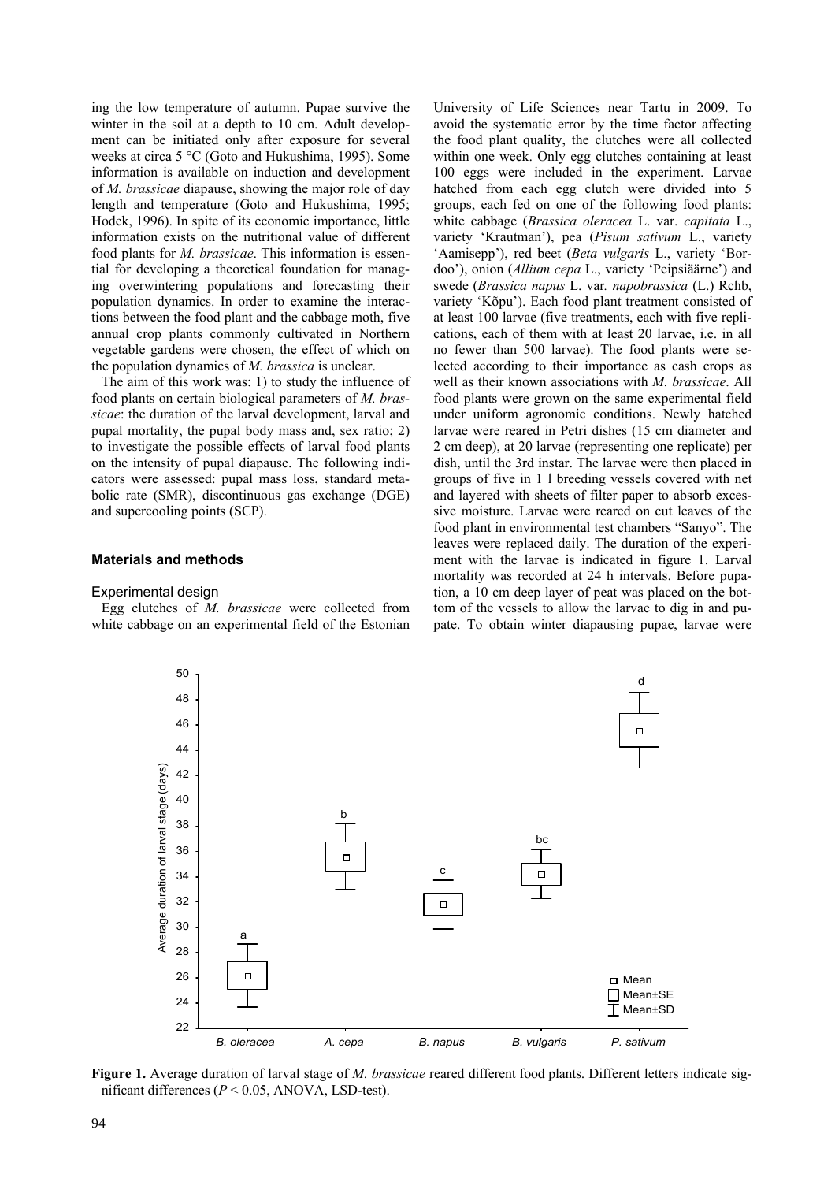ing the low temperature of autumn. Pupae survive the winter in the soil at a depth to 10 cm. Adult development can be initiated only after exposure for several weeks at circa 5 °C (Goto and Hukushima, 1995). Some information is available on induction and development of *M. brassicae* diapause, showing the major role of day length and temperature (Goto and Hukushima, 1995; Hodek, 1996). In spite of its economic importance, little information exists on the nutritional value of different food plants for *M. brassicae*. This information is essential for developing a theoretical foundation for managing overwintering populations and forecasting their population dynamics. In order to examine the interactions between the food plant and the cabbage moth, five annual crop plants commonly cultivated in Northern vegetable gardens were chosen, the effect of which on the population dynamics of *M. brassica* is unclear.

The aim of this work was: 1) to study the influence of food plants on certain biological parameters of *M. brassicae*: the duration of the larval development, larval and pupal mortality, the pupal body mass and, sex ratio; 2) to investigate the possible effects of larval food plants on the intensity of pupal diapause. The following indicators were assessed: pupal mass loss, standard metabolic rate (SMR), discontinuous gas exchange (DGE) and supercooling points (SCP).

# **Materials and methods**

## Experimental design

Egg clutches of *M. brassicae* were collected from white cabbage on an experimental field of the Estonian University of Life Sciences near Tartu in 2009. To avoid the systematic error by the time factor affecting the food plant quality, the clutches were all collected within one week. Only egg clutches containing at least 100 eggs were included in the experiment. Larvae hatched from each egg clutch were divided into 5 groups, each fed on one of the following food plants: white cabbage (*Brassica oleracea* L. var. *capitata* L., variety 'Krautman'), pea (*Pisum sativum* L., variety 'Aamisepp'), red beet (*Beta vulgaris* L., variety 'Bordoo'), onion (*Allium cepa* L., variety 'Peipsiäärne') and swede (*Brassica napus* L. var*. napobrassica* (L.) Rchb, variety 'Kõpu'). Each food plant treatment consisted of at least 100 larvae (five treatments, each with five replications, each of them with at least 20 larvae, i.e. in all no fewer than 500 larvae). The food plants were selected according to their importance as cash crops as well as their known associations with *M. brassicae*. All food plants were grown on the same experimental field under uniform agronomic conditions. Newly hatched larvae were reared in Petri dishes (15 cm diameter and 2 cm deep), at 20 larvae (representing one replicate) per dish, until the 3rd instar. The larvae were then placed in groups of five in 1 l breeding vessels covered with net and layered with sheets of filter paper to absorb excessive moisture. Larvae were reared on cut leaves of the food plant in environmental test chambers "Sanyo". The leaves were replaced daily. The duration of the experiment with the larvae is indicated in figure 1. Larval mortality was recorded at 24 h intervals. Before pupation, a 10 cm deep layer of peat was placed on the bottom of the vessels to allow the larvae to dig in and pupate. To obtain winter diapausing pupae, larvae were



**Figure 1.** Average duration of larval stage of *M. brassicae* reared different food plants. Different letters indicate significant differences ( $P < 0.05$ , ANOVA, LSD-test).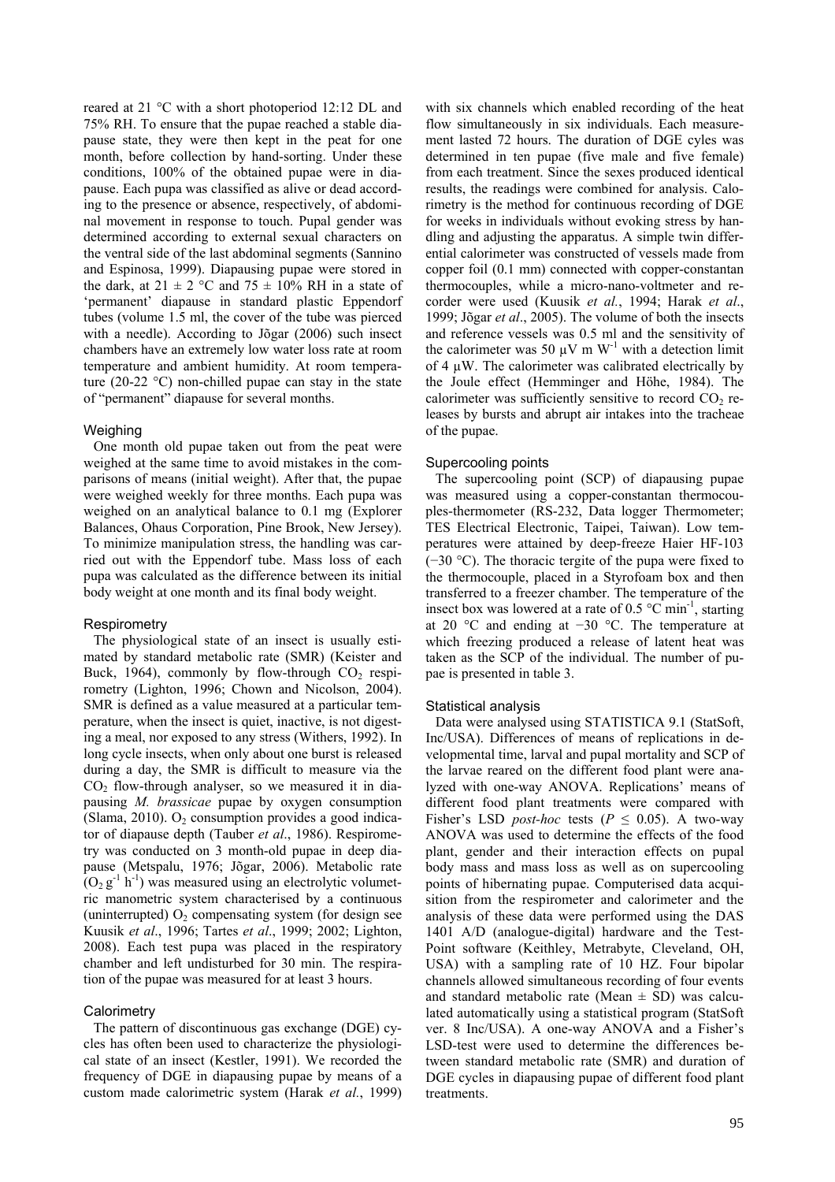reared at 21 °C with a short photoperiod 12:12 DL and 75% RH. To ensure that the pupae reached a stable diapause state, they were then kept in the peat for one month, before collection by hand-sorting. Under these conditions, 100% of the obtained pupae were in diapause. Each pupa was classified as alive or dead according to the presence or absence, respectively, of abdominal movement in response to touch. Pupal gender was determined according to external sexual characters on the ventral side of the last abdominal segments (Sannino and Espinosa, 1999). Diapausing pupae were stored in the dark, at  $21 \pm 2$  °C and  $75 \pm 10\%$  RH in a state of 'permanent' diapause in standard plastic Eppendorf tubes (volume 1.5 ml, the cover of the tube was pierced with a needle). According to Jõgar (2006) such insect chambers have an extremely low water loss rate at room temperature and ambient humidity. At room temperature (20-22 °C) non-chilled pupae can stay in the state of "permanent" diapause for several months.

# Weighing

One month old pupae taken out from the peat were weighed at the same time to avoid mistakes in the comparisons of means (initial weight). After that, the pupae were weighed weekly for three months. Each pupa was weighed on an analytical balance to 0.1 mg (Explorer Balances, Ohaus Corporation, Pine Brook, New Jersey). To minimize manipulation stress, the handling was carried out with the Eppendorf tube. Mass loss of each pupa was calculated as the difference between its initial body weight at one month and its final body weight.

# Respirometry

The physiological state of an insect is usually estimated by standard metabolic rate (SMR) (Keister and Buck, 1964), commonly by flow-through  $CO<sub>2</sub>$  respirometry (Lighton, 1996; Chown and Nicolson, 2004). SMR is defined as a value measured at a particular temperature, when the insect is quiet, inactive, is not digesting a meal, nor exposed to any stress (Withers, 1992). In long cycle insects, when only about one burst is released during a day, the SMR is difficult to measure via the  $CO<sub>2</sub>$  flow-through analyser, so we measured it in diapausing *M. brassicae* pupae by oxygen consumption (Slama, 2010).  $O_2$  consumption provides a good indicator of diapause depth (Tauber *et al*., 1986). Respirometry was conducted on 3 month-old pupae in deep diapause (Metspalu, 1976; Jõgar, 2006). Metabolic rate  $(O_2 g^{-1} h^{-1})$  was measured using an electrolytic volumetric manometric system characterised by a continuous (uninterrupted)  $O_2$  compensating system (for design see Kuusik *et al*., 1996; Tartes *et al*., 1999; 2002; Lighton, 2008). Each test pupa was placed in the respiratory chamber and left undisturbed for 30 min. The respiration of the pupae was measured for at least 3 hours.

# **Calorimetry**

The pattern of discontinuous gas exchange (DGE) cycles has often been used to characterize the physiological state of an insect (Kestler, 1991). We recorded the frequency of DGE in diapausing pupae by means of a custom made calorimetric system (Harak *et al.*, 1999) with six channels which enabled recording of the heat flow simultaneously in six individuals. Each measurement lasted 72 hours. The duration of DGE cyles was determined in ten pupae (five male and five female) from each treatment. Since the sexes produced identical results, the readings were combined for analysis. Calorimetry is the method for continuous recording of DGE for weeks in individuals without evoking stress by handling and adjusting the apparatus. A simple twin differential calorimeter was constructed of vessels made from copper foil (0.1 mm) connected with copper-constantan thermocouples, while a micro-nano-voltmeter and recorder were used (Kuusik *et al.*, 1994; Harak *et al*., 1999; Jõgar *et al*., 2005). The volume of both the insects and reference vessels was 0.5 ml and the sensitivity of the calorimeter was 50  $\mu$ V m W<sup>-1</sup> with a detection limit of 4 µW. The calorimeter was calibrated electrically by the Joule effect (Hemminger and Höhe, 1984). The calorimeter was sufficiently sensitive to record  $CO<sub>2</sub>$  releases by bursts and abrupt air intakes into the tracheae of the pupae.

# Supercooling points

The supercooling point (SCP) of diapausing pupae was measured using a copper-constantan thermocouples-thermometer (RS-232, Data logger Thermometer; TES Electrical Electronic, Taipei, Taiwan). Low temperatures were attained by deep-freeze Haier HF-103 (−30 °C). The thoracic tergite of the pupa were fixed to the thermocouple, placed in a Styrofoam box and then transferred to a freezer chamber. The temperature of the insect box was lowered at a rate of  $0.5 \degree C \text{ min}^{-1}$ , starting at 20 °C and ending at −30 °C. The temperature at which freezing produced a release of latent heat was taken as the SCP of the individual. The number of pupae is presented in table 3.

# Statistical analysis

Data were analysed using STATISTICA 9.1 (StatSoft, Inc/USA). Differences of means of replications in developmental time, larval and pupal mortality and SCP of the larvae reared on the different food plant were analyzed with one-way ANOVA. Replications' means of different food plant treatments were compared with Fisher's LSD *post-hoc* tests ( $P \le 0.05$ ). A two-way ANOVA was used to determine the effects of the food plant, gender and their interaction effects on pupal body mass and mass loss as well as on supercooling points of hibernating pupae. Computerised data acquisition from the respirometer and calorimeter and the analysis of these data were performed using the DAS 1401 A/D (analogue-digital) hardware and the Test-Point software (Keithley, Metrabyte, Cleveland, OH, USA) with a sampling rate of 10 HZ. Four bipolar channels allowed simultaneous recording of four events and standard metabolic rate (Mean  $\pm$  SD) was calculated automatically using a statistical program (StatSoft ver. 8 Inc/USA). A one-way ANOVA and a Fisher's LSD-test were used to determine the differences between standard metabolic rate (SMR) and duration of DGE cycles in diapausing pupae of different food plant treatments.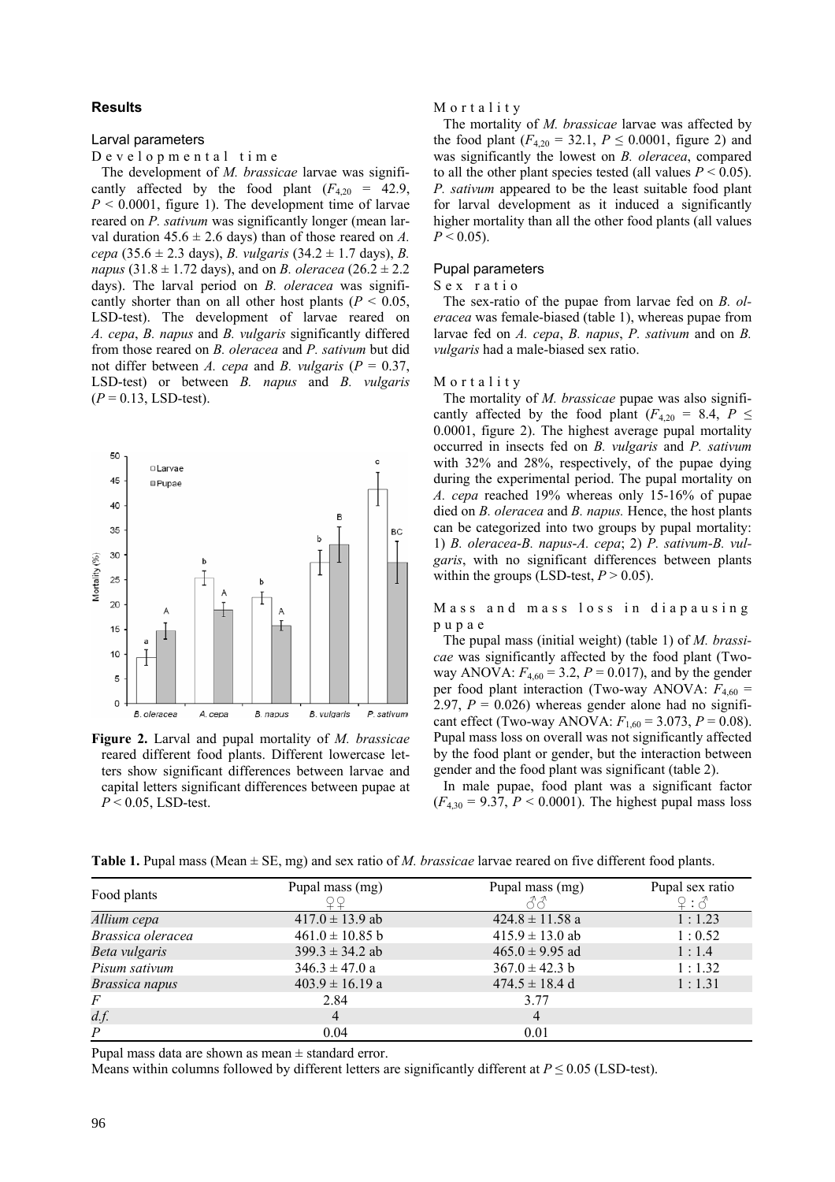## **Results**

#### Larval parameters

Developmental time

The development of *M. brassicae* larvae was significantly affected by the food plant  $(F_{4,20} = 42.9)$ ,  $P \le 0.0001$ , figure 1). The development time of larvae reared on *P. sativum* was significantly longer (mean larval duration  $45.6 \pm 2.6$  days) than of those reared on *A*. *cepa* (35.6 ± 2.3 days), *B. vulgaris* (34.2 ± 1.7 days), *B. napus* (31.8  $\pm$  1.72 days), and on *B. oleracea* (26.2  $\pm$  2.2 days). The larval period on *B. oleracea* was significantly shorter than on all other host plants ( $P < 0.05$ , LSD-test). The development of larvae reared on *A. cepa*, *B. napus* and *B. vulgaris* significantly differed from those reared on *B. oleracea* and *P. sativum* but did not differ between *A. cepa* and *B. vulgaris* (*P* = 0.37, LSD-test) or between *B. napus* and *B. vulgaris*  $(P = 0.13,$  LSD-test).



**Figure 2.** Larval and pupal mortality of *M. brassicae* reared different food plants. Different lowercase letters show significant differences between larvae and capital letters significant differences between pupae at *P* < 0.05, LSD-test.

#### Mortality

The mortality of *M. brassicae* larvae was affected by the food plant  $(F_{4,20} = 32.1, P \le 0.0001,$  figure 2) and was significantly the lowest on *B. oleracea*, compared to all the other plant species tested (all values  $P < 0.05$ ). *P. sativum* appeared to be the least suitable food plant for larval development as it induced a significantly higher mortality than all the other food plants (all values  $P < 0.05$ ).

# Pupal parameters

#### Sex ratio

The sex-ratio of the pupae from larvae fed on *B. oleracea* was female-biased (table 1), whereas pupae from larvae fed on *A. cepa*, *B. napus*, *P. sativum* and on *B. vulgaris* had a male-biased sex ratio.

## Mortality

The mortality of *M. brassicae* pupae was also significantly affected by the food plant ( $F_{4,20}$  = 8.4,  $P \leq$ 0.0001, figure 2). The highest average pupal mortality occurred in insects fed on *B. vulgaris* and *P. sativum* with 32% and 28%, respectively, of the pupae dying during the experimental period. The pupal mortality on *A. cepa* reached 19% whereas only 15-16% of pupae died on *B. oleracea* and *B. napus.* Hence, the host plants can be categorized into two groups by pupal mortality: 1) *B. oleracea*-*B. napus*-*A. cepa*; 2) *P. sativum*-*B. vulgaris*, with no significant differences between plants within the groups (LSD-test,  $P > 0.05$ ).

Mass and mass loss in diapausing pupae

The pupal mass (initial weight) (table 1) of *M. brassicae* was significantly affected by the food plant (Twoway ANOVA:  $F_{4,60} = 3.2$ ,  $P = 0.017$ ), and by the gender per food plant interaction (Two-way ANOVA:  $F_{4,60}$  = 2.97,  $P = 0.026$ ) whereas gender alone had no significant effect (Two-way ANOVA:  $F_{1,60} = 3.073$ ,  $P = 0.08$ ). Pupal mass loss on overall was not significantly affected by the food plant or gender, but the interaction between gender and the food plant was significant (table 2).

In male pupae, food plant was a significant factor  $(F_{4,30} = 9.37, P \le 0.0001)$ . The highest pupal mass loss

**Table 1.** Pupal mass (Mean ± SE, mg) and sex ratio of *M. brassicae* larvae reared on five different food plants.

|                   | Pupal mass (mg)     | Pupal mass (mg)     | Pupal sex ratio |
|-------------------|---------------------|---------------------|-----------------|
| Food plants       |                     | スペ                  | 9:3             |
| Allium cepa       | $417.0 \pm 13.9$ ab | $424.8 \pm 11.58$ a | 1:1.23          |
| Brassica oleracea | $461.0 \pm 10.85$ b | $415.9 \pm 13.0$ ab | 1:0.52          |
| Beta vulgaris     | $399.3 \pm 34.2$ ab | $465.0 \pm 9.95$ ad | 1:1.4           |
| Pisum sativum     | $346.3 \pm 47.0 a$  | $367.0 \pm 42.3 b$  | 1:1.32          |
| Brassica napus    | $403.9 \pm 16.19$ a | $474.5 \pm 18.4$ d  | 1:1.31          |
| $\overline{F}$    | 2.84                | 3.77                |                 |
| d.f.              | $\overline{4}$      | $\overline{4}$      |                 |
| $\overline{P}$    | 0.04                | 0.01                |                 |

Pupal mass data are shown as mean  $\pm$  standard error.

Means within columns followed by different letters are significantly different at  $P \le 0.05$  (LSD-test).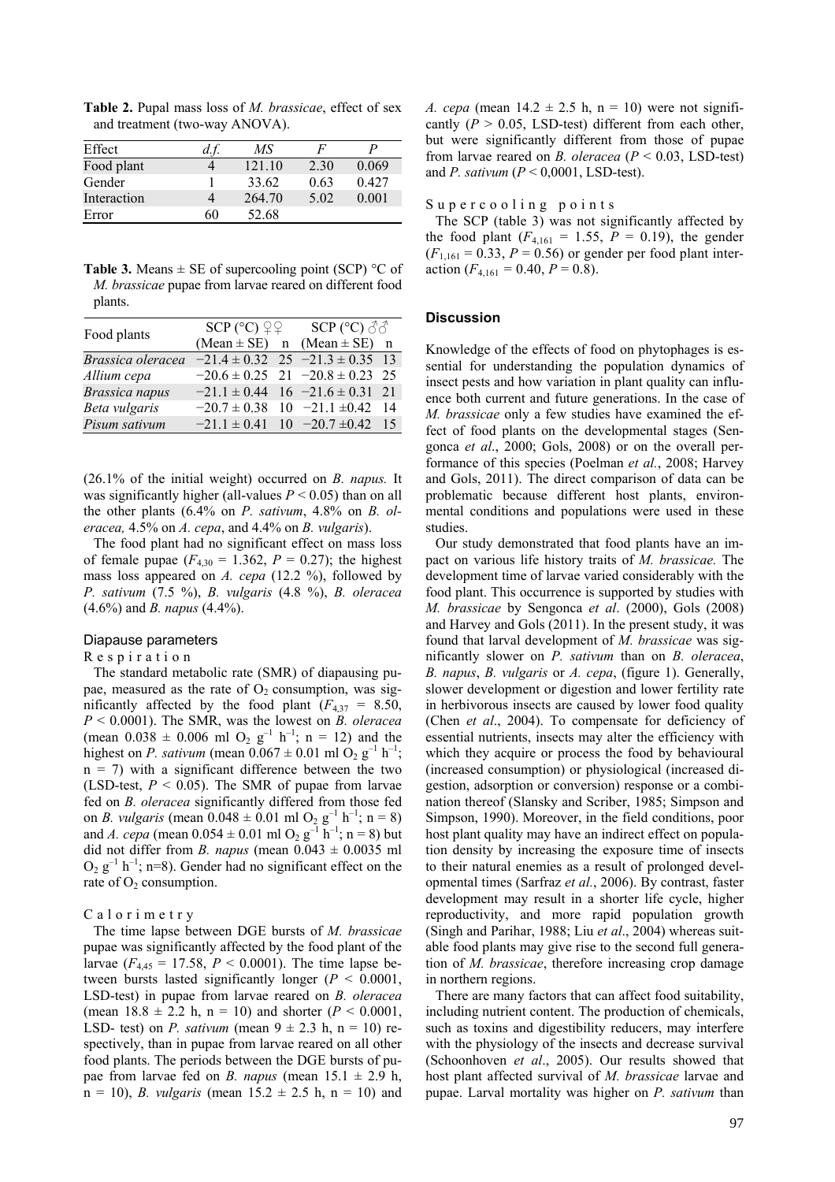**Table 2.** Pupal mass loss of *M. brassicae*, effect of sex and treatment (two-way ANOVA).

| Effect      |    | MS     | F    |       |
|-------------|----|--------|------|-------|
| Food plant  |    | 121 10 | 2.30 | 0.069 |
| Gender      |    | 33.62  | 0.63 | 0.427 |
| Interaction |    | 264.70 | 5.02 | 0.001 |
| Error       | 60 | 52.68  |      |       |

**Table 3.** Means  $\pm$  SE of supercooling point (SCP) °C of *M. brassicae* pupae from larvae reared on different food plants.

| Food plants           | $SCP$ (°C) $QQ$ |  | SCP ( $^{\circ}$ C) $\mathcal{S}\mathcal{S}$ |     |  |
|-----------------------|-----------------|--|----------------------------------------------|-----|--|
|                       |                 |  | $(Mean \pm SE)$ n $(Mean \pm SE)$ n          |     |  |
| Brassica oleracea     |                 |  | $-21.4 \pm 0.32$ 25 $-21.3 \pm 0.35$ 13      |     |  |
| Allium cepa           |                 |  | $-20.6 \pm 0.25$ 21 $-20.8 \pm 0.23$ 25      |     |  |
| <b>Brassica</b> napus |                 |  | $-21.1 \pm 0.44$ 16 $-21.6 \pm 0.31$         | 21  |  |
| Beta vulgaris         |                 |  | $-20.7 \pm 0.38$ 10 $-21.1 \pm 0.42$         | -14 |  |
| Pisum sativum         |                 |  | $-21.1 \pm 0.41$ 10 $-20.7 \pm 0.42$ 15      |     |  |

(26.1% of the initial weight) occurred on *B. napus.* It was significantly higher (all-values  $P < 0.05$ ) than on all the other plants (6.4% on *P. sativum*, 4.8% on *B. oleracea,* 4.5% on *A. cepa*, and 4.4% on *B. vulgaris*).

The food plant had no significant effect on mass loss of female pupae  $(F_{4,30} = 1.362, P = 0.27)$ ; the highest mass loss appeared on *A. cepa* (12.2 %), followed by *P. sativum* (7.5 %), *B. vulgaris* (4.8 %), *B. oleracea* (4.6%) and *B. napus* (4.4%).

#### Diapause parameters

Respiration

The standard metabolic rate (SMR) of diapausing pupae, measured as the rate of  $O<sub>2</sub>$  consumption, was significantly affected by the food plant  $(F_{4,37} = 8.50)$ , *P* < 0.0001). The SMR, was the lowest on *B. oleracea* (mean  $0.038 \pm 0.006$  ml O<sub>2</sub> g<sup>-1</sup> h<sup>-1</sup>; n = 12) and the highest on *P. sativum* (mean  $0.067 \pm 0.01$  ml  $O_2$  g<sup>-1</sup> h<sup>-1</sup>;  $n = 7$ ) with a significant difference between the two (LSD-test,  $P \le 0.05$ ). The SMR of pupae from larvae fed on *B. oleracea* significantly differed from those fed on *B. vulgaris* (mean  $0.048 \pm 0.01$  ml O<sub>2</sub> g<sup>-1</sup> h<sup>-1</sup>; n = 8) and *A. cepa* (mean  $0.054 \pm 0.01$  ml O<sub>2</sub> g<sup>-1</sup> h<sup>-1</sup>; n = 8) but did not differ from *B. napus* (mean  $0.043 \pm 0.0035$  ml  $O_2$  g<sup>-1</sup> h<sup>-1</sup>; n=8). Gender had no significant effect on the rate of  $O_2$  consumption.

## Calorimetry

The time lapse between DGE bursts of *M. brassicae* pupae was significantly affected by the food plant of the larvae ( $F_{4,45} = 17.58$ ,  $P < 0.0001$ ). The time lapse between bursts lasted significantly longer (*P* < 0.0001, LSD-test) in pupae from larvae reared on *B. oleracea* (mean  $18.8 \pm 2.2$  h, n = 10) and shorter ( $P < 0.0001$ , LSD- test) on *P. sativum* (mean  $9 \pm 2.3$  h, n = 10) respectively, than in pupae from larvae reared on all other food plants. The periods between the DGE bursts of pupae from larvae fed on *B. napus* (mean  $15.1 \pm 2.9$  h,  $n = 10$ , *B. vulgaris* (mean  $15.2 \pm 2.5$  h,  $n = 10$ ) and *A. cepa* (mean  $14.2 \pm 2.5$  h, n = 10) were not significantly  $(P > 0.05$ , LSD-test) different from each other, but were significantly different from those of pupae from larvae reared on *B. oleracea* ( $P < 0.03$ , LSD-test) and *P. sativum* (*P* < 0,0001, LSD-test).

## Supercooling points

The SCP (table 3) was not significantly affected by the food plant  $(F_{4,161} = 1.55, P = 0.19)$ , the gender  $(F_{1,161} = 0.33, P = 0.56)$  or gender per food plant interaction  $(F_{4,161} = 0.40, P = 0.8)$ .

## **Discussion**

Knowledge of the effects of food on phytophages is essential for understanding the population dynamics of insect pests and how variation in plant quality can influence both current and future generations. In the case of *M. brassicae* only a few studies have examined the effect of food plants on the developmental stages (Sengonca *et al*., 2000; Gols, 2008) or on the overall performance of this species (Poelman *et al.*, 2008; Harvey and Gols, 2011). The direct comparison of data can be problematic because different host plants, environmental conditions and populations were used in these studies.

Our study demonstrated that food plants have an impact on various life history traits of *M. brassicae.* The development time of larvae varied considerably with the food plant. This occurrence is supported by studies with *M. brassicae* by Sengonca *et al*. (2000), Gols (2008) and Harvey and Gols (2011). In the present study, it was found that larval development of *M. brassicae* was significantly slower on *P. sativum* than on *B. oleracea*, *B. napus*, *B. vulgaris* or *A. cepa*, (figure 1). Generally, slower development or digestion and lower fertility rate in herbivorous insects are caused by lower food quality (Chen *et al*., 2004). To compensate for deficiency of essential nutrients, insects may alter the efficiency with which they acquire or process the food by behavioural (increased consumption) or physiological (increased digestion, adsorption or conversion) response or a combination thereof (Slansky and Scriber, 1985; Simpson and Simpson, 1990). Moreover, in the field conditions, poor host plant quality may have an indirect effect on population density by increasing the exposure time of insects to their natural enemies as a result of prolonged developmental times (Sarfraz *et al.*, 2006). By contrast, faster development may result in a shorter life cycle, higher reproductivity, and more rapid population growth (Singh and Parihar, 1988; Liu *et al*., 2004) whereas suitable food plants may give rise to the second full generation of *M. brassicae*, therefore increasing crop damage in northern regions.

There are many factors that can affect food suitability, including nutrient content. The production of chemicals, such as toxins and digestibility reducers, may interfere with the physiology of the insects and decrease survival (Schoonhoven *et al*., 2005). Our results showed that host plant affected survival of *M. brassicae* larvae and pupae. Larval mortality was higher on *P. sativum* than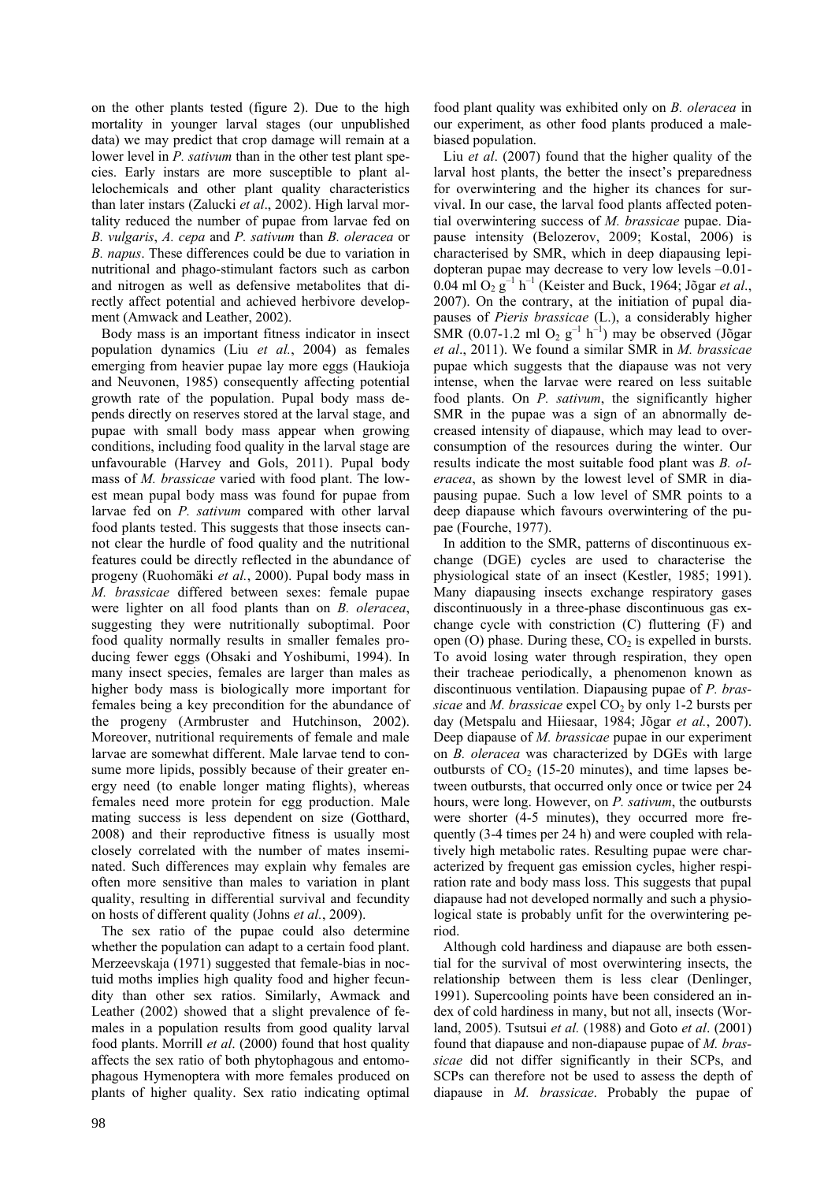on the other plants tested (figure 2). Due to the high mortality in younger larval stages (our unpublished data) we may predict that crop damage will remain at a lower level in *P. sativum* than in the other test plant species. Early instars are more susceptible to plant allelochemicals and other plant quality characteristics than later instars (Zalucki *et al*., 2002). High larval mortality reduced the number of pupae from larvae fed on *B. vulgaris*, *A. cepa* and *P. sativum* than *B. oleracea* or *B. napus*. These differences could be due to variation in nutritional and phago-stimulant factors such as carbon and nitrogen as well as defensive metabolites that directly affect potential and achieved herbivore development (Amwack and Leather, 2002).

Body mass is an important fitness indicator in insect population dynamics (Liu *et al.*, 2004) as females emerging from heavier pupae lay more eggs (Haukioja and Neuvonen, 1985) consequently affecting potential growth rate of the population. Pupal body mass depends directly on reserves stored at the larval stage, and pupae with small body mass appear when growing conditions, including food quality in the larval stage are unfavourable (Harvey and Gols, 2011). Pupal body mass of *M. brassicae* varied with food plant. The lowest mean pupal body mass was found for pupae from larvae fed on *P. sativum* compared with other larval food plants tested. This suggests that those insects cannot clear the hurdle of food quality and the nutritional features could be directly reflected in the abundance of progeny (Ruohomäki *et al.*, 2000). Pupal body mass in *M. brassicae* differed between sexes: female pupae were lighter on all food plants than on *B. oleracea*, suggesting they were nutritionally suboptimal. Poor food quality normally results in smaller females producing fewer eggs (Ohsaki and Yoshibumi, 1994). In many insect species, females are larger than males as higher body mass is biologically more important for females being a key precondition for the abundance of the progeny (Armbruster and Hutchinson, 2002). Moreover, nutritional requirements of female and male larvae are somewhat different. Male larvae tend to consume more lipids, possibly because of their greater energy need (to enable longer mating flights), whereas females need more protein for egg production. Male mating success is less dependent on size (Gotthard, 2008) and their reproductive fitness is usually most closely correlated with the number of mates inseminated. Such differences may explain why females are often more sensitive than males to variation in plant quality, resulting in differential survival and fecundity on hosts of different quality (Johns *et al.*, 2009).

The sex ratio of the pupae could also determine whether the population can adapt to a certain food plant. Merzeevskaja (1971) suggested that female-bias in noctuid moths implies high quality food and higher fecundity than other sex ratios. Similarly, Awmack and Leather (2002) showed that a slight prevalence of females in a population results from good quality larval food plants. Morrill *et al*. (2000) found that host quality affects the sex ratio of both phytophagous and entomophagous Hymenoptera with more females produced on plants of higher quality. Sex ratio indicating optimal food plant quality was exhibited only on *B. oleracea* in our experiment, as other food plants produced a malebiased population.

Liu *et al*. (2007) found that the higher quality of the larval host plants, the better the insect's preparedness for overwintering and the higher its chances for survival. In our case, the larval food plants affected potential overwintering success of *M. brassicae* pupae. Diapause intensity (Belozerov, 2009; Kostal, 2006) is characterised by SMR, which in deep diapausing lepidopteran pupae may decrease to very low levels –0.01- 0.04 ml  $O_2$   $g^{-1}$   $h^{-1}$  (Keister and Buck, 1964; Jõgar *et al.*, 2007). On the contrary, at the initiation of pupal diapauses of *Pieris brassicae* (L.), a considerably higher SMR (0.07-1.2 ml  $O_2$   $g^{-1}$  h<sup>-1</sup>) may be observed (Jõgar *et al*., 2011). We found a similar SMR in *M. brassicae* pupae which suggests that the diapause was not very intense, when the larvae were reared on less suitable food plants. On *P. sativum*, the significantly higher SMR in the pupae was a sign of an abnormally decreased intensity of diapause, which may lead to overconsumption of the resources during the winter. Our results indicate the most suitable food plant was *B. oleracea*, as shown by the lowest level of SMR in diapausing pupae. Such a low level of SMR points to a deep diapause which favours overwintering of the pupae (Fourche, 1977).

In addition to the SMR, patterns of discontinuous exchange (DGE) cycles are used to characterise the physiological state of an insect (Kestler, 1985; 1991). Many diapausing insects exchange respiratory gases discontinuously in a three-phase discontinuous gas exchange cycle with constriction (C) fluttering (F) and open  $(O)$  phase. During these,  $CO<sub>2</sub>$  is expelled in bursts. To avoid losing water through respiration, they open their tracheae periodically, a phenomenon known as discontinuous ventilation. Diapausing pupae of *P. brassicae* and *M. brassicae* expel CO<sub>2</sub> by only 1-2 bursts per day (Metspalu and Hiiesaar, 1984; Jõgar *et al.*, 2007). Deep diapause of *M. brassicae* pupae in our experiment on *B. oleracea* was characterized by DGEs with large outbursts of  $CO<sub>2</sub>$  (15-20 minutes), and time lapses between outbursts, that occurred only once or twice per 24 hours, were long. However, on *P. sativum*, the outbursts were shorter (4-5 minutes), they occurred more frequently (3-4 times per 24 h) and were coupled with relatively high metabolic rates. Resulting pupae were characterized by frequent gas emission cycles, higher respiration rate and body mass loss. This suggests that pupal diapause had not developed normally and such a physiological state is probably unfit for the overwintering period.

Although cold hardiness and diapause are both essential for the survival of most overwintering insects, the relationship between them is less clear (Denlinger, 1991). Supercooling points have been considered an index of cold hardiness in many, but not all, insects (Worland, 2005). Tsutsui *et al.* (1988) and Goto *et al*. (2001) found that diapause and non-diapause pupae of *M. brassicae* did not differ significantly in their SCPs, and SCPs can therefore not be used to assess the depth of diapause in *M. brassicae*. Probably the pupae of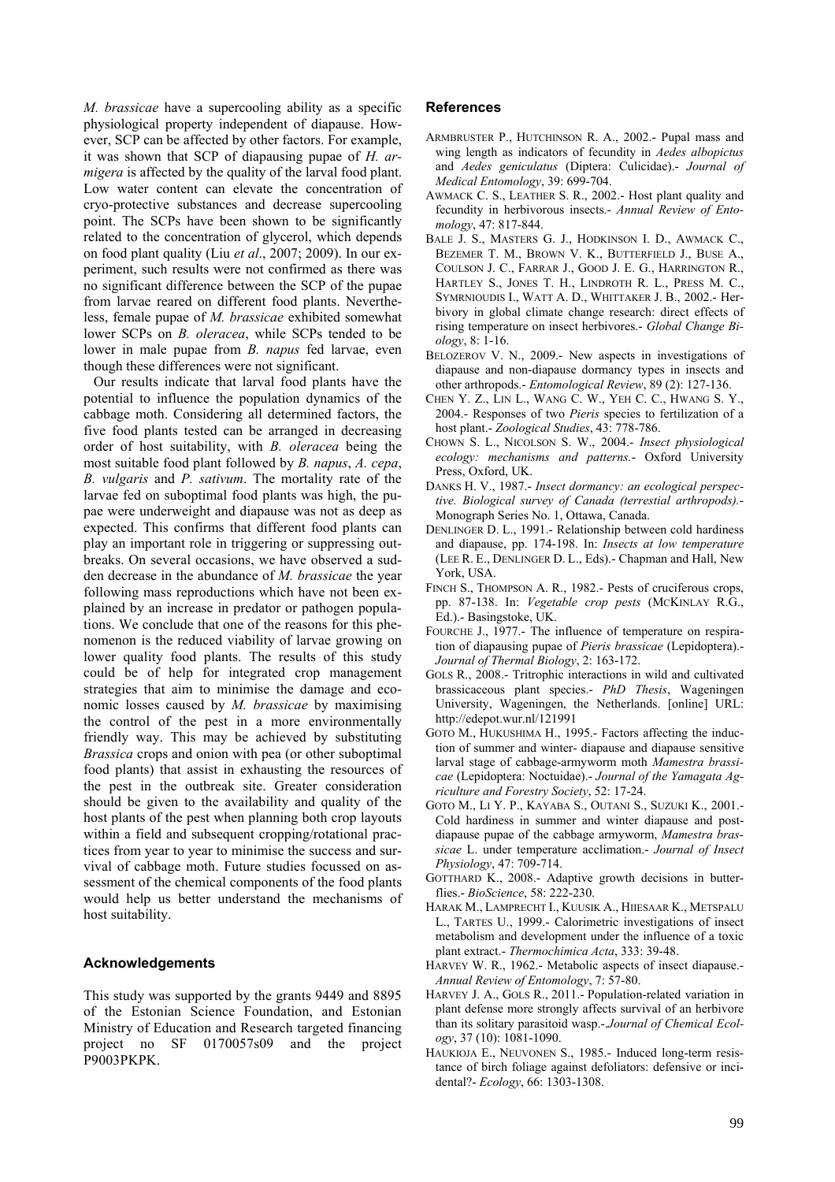*M. brassicae* have a supercooling ability as a specific physiological property independent of diapause. However, SCP can be affected by other factors. For example, it was shown that SCP of diapausing pupae of *H. armigera* is affected by the quality of the larval food plant. Low water content can elevate the concentration of cryo-protective substances and decrease supercooling point. The SCPs have been shown to be significantly related to the concentration of glycerol, which depends on food plant quality (Liu *et al*., 2007; 2009). In our experiment, such results were not confirmed as there was no significant difference between the SCP of the pupae from larvae reared on different food plants. Nevertheless, female pupae of *M. brassicae* exhibited somewhat lower SCPs on *B. oleracea*, while SCPs tended to be lower in male pupae from *B. napus* fed larvae, even though these differences were not significant.

Our results indicate that larval food plants have the potential to influence the population dynamics of the cabbage moth. Considering all determined factors, the five food plants tested can be arranged in decreasing order of host suitability, with *B. oleracea* being the most suitable food plant followed by *B. napus*, *A. cepa*, *B. vulgaris* and *P. sativum*. The mortality rate of the larvae fed on suboptimal food plants was high, the pupae were underweight and diapause was not as deep as expected. This confirms that different food plants can play an important role in triggering or suppressing outbreaks. On several occasions, we have observed a sudden decrease in the abundance of *M. brassicae* the year following mass reproductions which have not been explained by an increase in predator or pathogen populations. We conclude that one of the reasons for this phenomenon is the reduced viability of larvae growing on lower quality food plants. The results of this study could be of help for integrated crop management strategies that aim to minimise the damage and economic losses caused by *M. brassicae* by maximising the control of the pest in a more environmentally friendly way. This may be achieved by substituting *Brassica* crops and onion with pea (or other suboptimal food plants) that assist in exhausting the resources of the pest in the outbreak site. Greater consideration should be given to the availability and quality of the host plants of the pest when planning both crop layouts within a field and subsequent cropping/rotational practices from year to year to minimise the success and survival of cabbage moth. Future studies focussed on assessment of the chemical components of the food plants would help us better understand the mechanisms of host suitability.

### **Acknowledgements**

This study was supported by the grants 9449 and 8895 of the Estonian Science Foundation, and Estonian Ministry of Education and Research targeted financing project no SF 0170057s09 and the project P9003PKPK.

## **References**

- ARMBRUSTER P., HUTCHINSON R. A., 2002.- Pupal mass and wing length as indicators of fecundity in *Aedes albopictus*  and *Aedes geniculatus* (Diptera: Culicidae).- *Journal of Medical Entomology*, 39: 699-704.
- AWMACK C. S., LEATHER S. R., 2002.- Host plant quality and fecundity in herbivorous insects.- *Annual Review of Entomology*, 47: 817-844.
- BALE J. S., MASTERS G. J., HODKINSON I. D., AWMACK C., BEZEMER T. M., BROWN V. K., BUTTERFIELD J., BUSE A., COULSON J. C., FARRAR J., GOOD J. E. G., HARRINGTON R., HARTLEY S., JONES T. H., LINDROTH R. L., PRESS M. C., SYMRNIOUDIS I., WATT A. D., WHITTAKER J. B., 2002.- Herbivory in global climate change research: direct effects of rising temperature on insect herbivores.- *Global Change Biology*, 8: 1-16.
- BELOZEROV V. N., 2009.- New aspects in investigations of diapause and non-diapause dormancy types in insects and other arthropods.- *Entomological Review*, 89 (2): 127-136.
- CHEN Y. Z., LIN L., WANG C. W., YEH C. C., HWANG S. Y., 2004.- Responses of two *Pieris* species to fertilization of a host plant.- *Zoological Studies*, 43: 778-786.
- CHOWN S. L., NICOLSON S. W., 2004.- *Insect physiological ecology: mechanisms and patterns.*- Oxford University Press, Oxford, UK.
- DANKS H. V., 1987.- *Insect dormancy: an ecological perspective. Biological survey of Canada (terrestial arthropods).*- Monograph Series No. 1, Ottawa, Canada.
- DENLINGER D. L., 1991.- Relationship between cold hardiness and diapause, pp. 174-198. In: *Insects at low temperature*  (LEE R. E., DENLINGER D. L., Eds).- Chapman and Hall, New York, USA.
- FINCH S., THOMPSON A. R., 1982.- Pests of cruciferous crops, pp. 87-138. In: *Vegetable crop pests* (MCKINLAY R.G., Ed.).- Basingstoke, UK.
- FOURCHE J., 1977.- The influence of temperature on respiration of diapausing pupae of *Pieris brassicae* (Lepidoptera).- *Journal of Thermal Biology*, 2: 163-172.
- GOLS R., 2008.- Tritrophic interactions in wild and cultivated brassicaceous plant species.- *PhD Thesis*, Wageningen University, Wageningen, the Netherlands. [online] URL: http://edepot.wur.nl/121991
- GOTO M., HUKUSHIMA H., 1995.- Factors affecting the induction of summer and winter- diapause and diapause sensitive larval stage of cabbage-armyworm moth *Mamestra brassicae* (Lepidoptera: Noctuidae).- *Journal of the Yamagata Agriculture and Forestry Society*, 52: 17-24.
- GOTO M., LI Y. P., KAYABA S., OUTANI S., SUZUKI K., 2001.- Cold hardiness in summer and winter diapause and postdiapause pupae of the cabbage armyworm, *Mamestra brassicae* L. under temperature acclimation.- *Journal of Insect Physiology*, 47: 709-714.
- GOTTHARD K., 2008.- Adaptive growth decisions in butterflies.- *BioScience*, 58: 222-230.
- HARAK M., LAMPRECHT I., KUUSIK A., HIIESAAR K., METSPALU L., TARTES U., 1999.- Calorimetric investigations of insect metabolism and development under the influence of a toxic plant extract.- *Thermochimica Acta*, 333: 39-48.
- HARVEY W. R., 1962.- Metabolic aspects of insect diapause.- *Annual Review of Entomology*, 7: 57-80.
- HARVEY J. A., GOLS R., 2011.- Population-related variation in plant defense more strongly affects survival of an herbivore than its solitary parasitoid wasp.-.*Journal of Chemical Ecology*, 37 (10): 1081-1090.
- HAUKIOJA E., NEUVONEN S., 1985.- Induced long-term resistance of birch foliage against defoliators: defensive or incidental?- *Ecology*, 66: 1303-1308.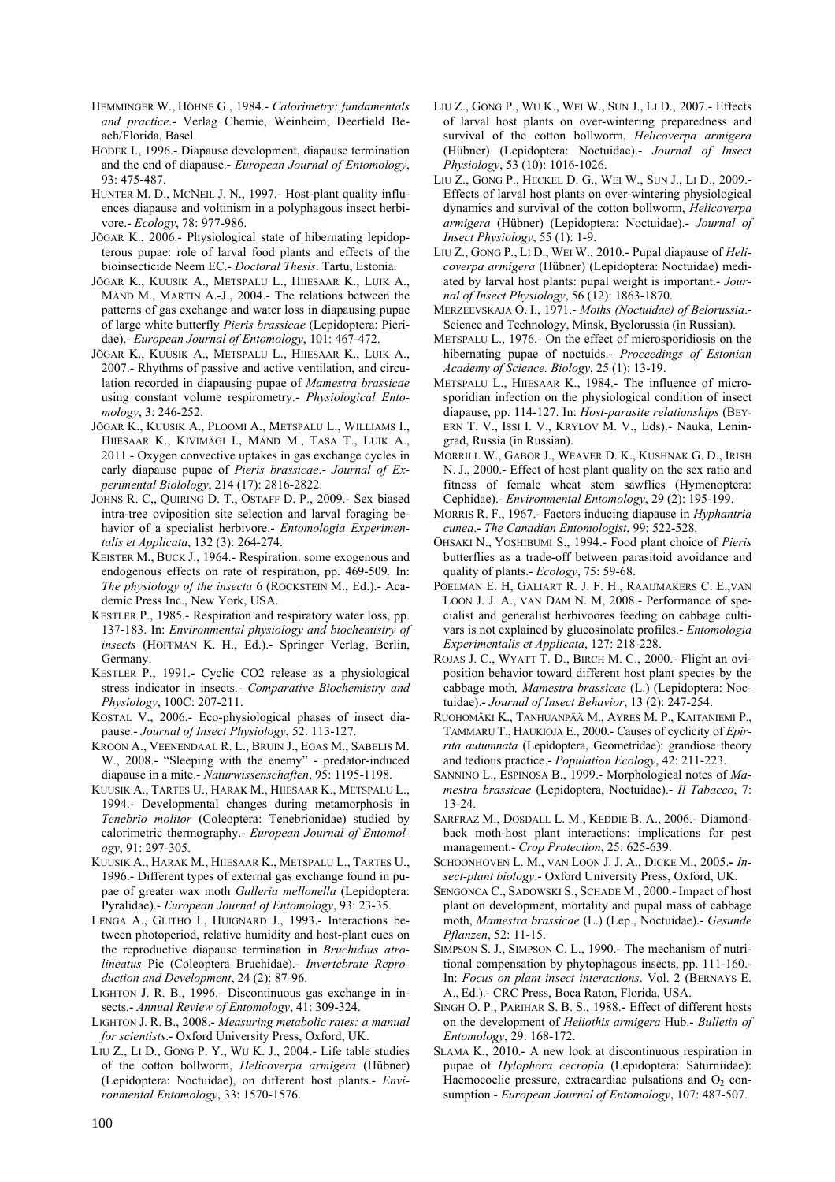- HEMMINGER W., HÖHNE G., 1984.- *Calorimetry: fundamentals and practice*.- Verlag Chemie, Weinheim, Deerfield Beach/Florida, Basel.
- HODEK I., 1996.- Diapause development, diapause termination and the end of diapause.- *European Journal of Entomology*, 93: 475-487.
- HUNTER M. D., MCNEIL J. N., 1997.- Host-plant quality influences diapause and voltinism in a polyphagous insect herbivore.- *Ecology*, 78: 977-986.
- JÕGAR K., 2006.- Physiological state of hibernating lepidopterous pupae: role of larval food plants and effects of the bioinsecticide Neem EC.- *Doctoral Thesis*. Tartu, Estonia.
- JÕGAR K., KUUSIK A., METSPALU L., HIIESAAR K., LUIK A., MÄND M., MARTIN A.-J., 2004.- The relations between the patterns of gas exchange and water loss in diapausing pupae of large white butterfly *Pieris brassicae* (Lepidoptera: Pieridae).- *European Journal of Entomology*, 101: 467-472.
- JÕGAR K., KUUSIK A., METSPALU L., HIIESAAR K., LUIK A., 2007.- Rhythms of passive and active ventilation, and circulation recorded in diapausing pupae of *Mamestra brassicae* using constant volume respirometry.- *Physiological Entomology*, 3: 246-252.
- JÕGAR K., KUUSIK A., PLOOMI A., METSPALU L., WILLIAMS I., HIIESAAR K., KIVIMÄGI I., MÄND M., TASA T., LUIK A., 2011.- Oxygen convective uptakes in gas exchange cycles in early diapause pupae of *Pieris brassicae*.- *Journal of Experimental Biolology*, 214 (17): 2816-2822.
- JOHNS R. C,, QUIRING D. T., OSTAFF D. P., 2009.- Sex biased intra-tree oviposition site selection and larval foraging behavior of a specialist herbivore.- *Entomologia Experimentalis et Applicata*, 132 (3): 264-274.
- KEISTER M., BUCK J., 1964.- Respiration: some exogenous and endogenous effects on rate of respiration, pp. 469-509*.* In: *The physiology of the insecta* 6 (ROCKSTEIN M., Ed.).- Academic Press Inc., New York, USA.
- KESTLER P., 1985.- Respiration and respiratory water loss, pp. 137-183. In: *Environmental physiology and biochemistry of insects* (HOFFMAN K. H., Ed.).- Springer Verlag, Berlin, Germany.
- KESTLER P., 1991.- Cyclic CO2 release as a physiological stress indicator in insects.- *Comparative Biochemistry and Physiology*, 100C: 207-211.
- KOSTAL V., 2006.- Eco-physiological phases of insect diapause.- *Journal of Insect Physiology*, 52: 113-127.
- KROON A., VEENENDAAL R. L., BRUIN J., EGAS M., SABELIS M. W., 2008.- "Sleeping with the enemy" - predator-induced diapause in a mite.- *Naturwissenschaften*, 95: 1195-1198.
- KUUSIK A., TARTES U., HARAK M., HIIESAAR K., METSPALU L., 1994.- Developmental changes during metamorphosis in *Tenebrio molitor* (Coleoptera: Tenebrionidae) studied by calorimetric thermography.- *European Journal of Entomology*, 91: 297-305.
- KUUSIK A., HARAK M., HIIESAAR K., METSPALU L., TARTES U., 1996.- Different types of external gas exchange found in pupae of greater wax moth *Galleria mellonella* (Lepidoptera: Pyralidae).- *European Journal of Entomology*, 93: 23-35.
- LENGA A., GLITHO I., HUIGNARD J., 1993.- Interactions between photoperiod, relative humidity and host-plant cues on the reproductive diapause termination in *Bruchidius atrolineatus* Pic (Coleoptera Bruchidae).- *Invertebrate Reproduction and Development*, 24 (2): 87-96.
- LIGHTON J. R. B., 1996.- Discontinuous gas exchange in insects.- *Annual Review of Entomology*, 41: 309-324.
- LIGHTON J. R. B., 2008.- *Measuring metabolic rates: a manual for scientists*.- Oxford University Press, Oxford, UK.
- LIU Z., LI D., GONG P. Y., WU K. J., 2004.- Life table studies of the cotton bollworm, *Helicoverpa armigera* (Hübner) (Lepidoptera: Noctuidae), on different host plants.- *Environmental Entomology*, 33: 1570-1576.
- LIU Z., GONG P., WU K., WEI W., SUN J., LI D., 2007.- Effects of larval host plants on over-wintering preparedness and survival of the cotton bollworm, *Helicoverpa armigera* (Hübner) (Lepidoptera: Noctuidae).- *Journal of Insect Physiology*, 53 (10): 1016-1026.
- LIU Z., GONG P., HECKEL D. G., WEI W., SUN J., LI D., 2009.- Effects of larval host plants on over-wintering physiological dynamics and survival of the cotton bollworm, *Helicoverpa armigera* (Hübner) (Lepidoptera: Noctuidae).- *Journal of Insect Physiology*, 55 (1): 1-9.
- LIU Z., GONG P., LI D., WEI W., 2010.- Pupal diapause of *Helicoverpa armigera* (Hübner) (Lepidoptera: Noctuidae) mediated by larval host plants: pupal weight is important.- *Journal of Insect Physiology*, 56 (12): 1863-1870.
- MERZEEVSKAJA O. I., 1971.- *Moths (Noctuidae) of Belorussia*.- Science and Technology, Minsk, Byelorussia (in Russian).
- METSPALU L., 1976.- On the effect of microsporidiosis on the hibernating pupae of noctuids.- *Proceedings of Estonian Academy of Science. Biology*, 25 (1): 13-19.
- METSPALU L., HIIESAAR K., 1984.- The influence of microsporidian infection on the physiological condition of insect diapause, pp. 114-127. In: *Host-parasite relationships* (BEY-ERN T. V., ISSI I. V., KRYLOV M. V., Eds).- Nauka, Leningrad, Russia (in Russian).
- MORRILL W., GABOR J., WEAVER D. K., KUSHNAK G. D., IRISH N. J., 2000.- Effect of host plant quality on the sex ratio and fitness of female wheat stem sawflies (Hymenoptera: Cephidae).- *Environmental Entomology*, 29 (2): 195-199.
- MORRIS R. F., 1967.- Factors inducing diapause in *Hyphantria cunea*.- *The Canadian Entomologist*, 99: 522-528.
- OHSAKI N., YOSHIBUMI S., 1994.- Food plant choice of *Pieris* butterflies as a trade-off between parasitoid avoidance and quality of plants.- *Ecology*, 75: 59-68.
- POELMAN E. H, GALIART R. J. F. H., RAAIJMAKERS C. E.,VAN LOON J. J. A., VAN DAM N. M, 2008.- Performance of specialist and generalist herbivoores feeding on cabbage cultivars is not explained by glucosinolate profiles.- *Entomologia Experimentalis et Applicata*, 127: 218-228.
- ROJAS J. C., WYATT T. D., BIRCH M. C., 2000.- Flight an oviposition behavior toward different host plant species by the cabbage moth*, Mamestra brassicae* (L.) (Lepidoptera: Noctuidae).- *Journal of Insect Behavior*, 13 (2): 247-254.
- RUOHOMÄKI K., TANHUANPÄÄ M., AYRES M. P., KAITANIEMI P., TAMMARU T., HAUKIOJA E., 2000.- Causes of cyclicity of *Epirrita autumnata* (Lepidoptera, Geometridae): grandiose theory and tedious practice.- *Population Ecology*, 42: 211-223.
- SANNINO L., ESPINOSA B., 1999.- Morphological notes of *Mamestra brassicae* (Lepidoptera, Noctuidae).- *Il Tabacco*, 7: 13-24.
- SARFRAZ M., DOSDALL L. M., KEDDIE B. A., 2006.- Diamondback moth-host plant interactions: implications for pest management.- *Crop Protection*, 25: 625-639.
- SCHOONHOVEN L. M., VAN LOON J. J. A., DICKE M., 2005.**-** *Insect-plant biology*.- Oxford University Press, Oxford, UK.
- SENGONCA C., SADOWSKI S., SCHADE M., 2000.- Impact of host plant on development, mortality and pupal mass of cabbage moth, *Mamestra brassicae* (L.) (Lep., Noctuidae).- *Gesunde Pflanzen*, 52: 11-15.
- SIMPSON S. J., SIMPSON C. L., 1990.- The mechanism of nutritional compensation by phytophagous insects, pp. 111-160.- In: *Focus on plant-insect interactions*. Vol. 2 (BERNAYS E. A., Ed.).- CRC Press, Boca Raton, Florida, USA.
- SINGH O. P., PARIHAR S. B. S., 1988.- Effect of different hosts on the development of *Heliothis armigera* Hub.- *Bulletin of Entomology*, 29: 168-172.
- SLAMA K., 2010.- A new look at discontinuous respiration in pupae of *Hylophora cecropia* (Lepidoptera: Saturniidae): Haemocoelic pressure, extracardiac pulsations and  $O<sub>2</sub>$  consumption.- *European Journal of Entomology*, 107: 487-507.